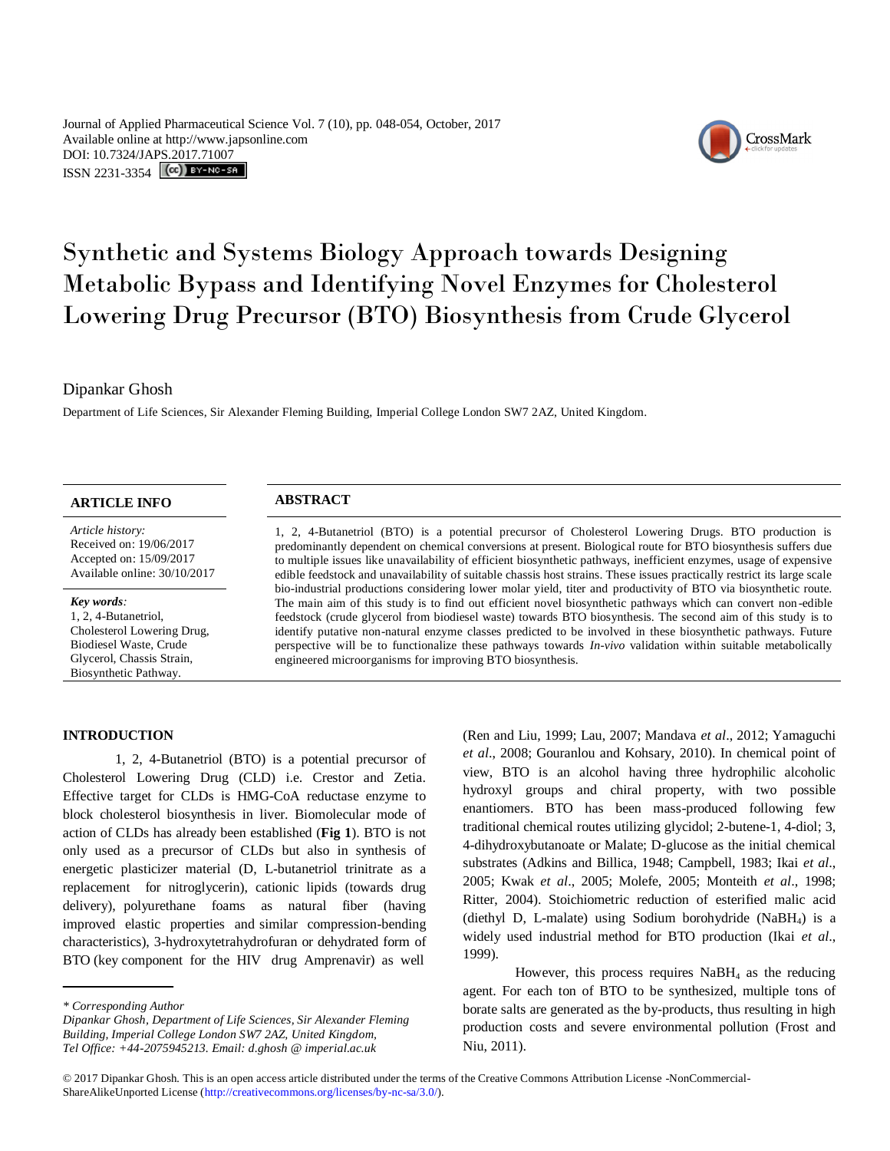Journal of Applied Pharmaceutical Science Vol. 7 (10), pp. 048-054, October, 2017 Available online at http://www.japsonline.com DOI: 10.7324/JA[PS.2017.71007](http://creativecommons.org/licenses/by-nc-sa/3.0/) ISSN 2231-3354 **(cc)** BY-NO-SA

# Synthetic and Systems Biology Approach towards Designing Metabolic Bypass and Identifying Novel Enzymes for Cholesterol Lowering Drug Precursor (BTO) Biosynthesis from Crude Glycerol

Dipankar Ghosh

Department of Life Sciences, Sir Alexander Fleming Building, Imperial College London SW7 2AZ, United Kingdom.

# **ARTICLE INFO ABSTRACT**

*Article history:* Received on: 19/06/2017 Accepted on: 15/09/2017 Available online: 30/10/2017

#### *Key words:*

1, 2, 4-Butanetriol, Cholesterol Lowering Drug, Biodiesel Waste, Crude Glycerol, Chassis Strain, Biosynthetic Pathway.

1, 2, 4-Butanetriol (BTO) is a potential precursor of Cholesterol Lowering Drugs. BTO production is predominantly dependent on chemical conversions at present. Biological route for BTO biosynthesis suffers due to multiple issues like unavailability of efficient biosynthetic pathways, inefficient enzymes, usage of expensive edible feedstock and unavailability of suitable chassis host strains. These issues practically restrict its large scale bio-industrial productions considering lower molar yield, titer and productivity of BTO via biosynthetic route. The main aim of this study is to find out efficient novel biosynthetic pathways which can convert non -edible feedstock (crude glycerol from biodiesel waste) towards BTO biosynthesis. The second aim of this study is to identify putative non-natural enzyme classes predicted to be involved in these biosynthetic pathways. Future perspective will be to functionalize these pathways towards *In-vivo* validation within suitable metabolically engineered microorganisms for improving BTO biosynthesis.

**INTRODUCTION**

1, 2, 4-Butanetriol (BTO) is a potential precursor of Cholesterol Lowering Drug (CLD) i.e. Crestor and Zetia. Effective target for CLDs is HMG-CoA reductase enzyme to block cholesterol biosynthesis in liver. Biomolecular mode of action of CLDs has already been established (**Fig 1**). BTO is not only used as a precursor of CLDs but also in synthesis of energetic plasticizer material (D, L-butanetriol trinitrate as a replacement for nitroglycerin), cationic lipids (towards drug delivery), polyurethane foams as natural fiber (having improved elastic properties and similar compression-bending characteristics), 3-hydroxytetrahydrofuran or dehydrated form of BTO (key component for the HIV drug Amprenavir) as well

*\* Corresponding Author*

(Ren and Liu, 1999; Lau, 2007; Mandava *et al*., 2012; Yamaguchi *et al*., 2008; Gouranlou and Kohsary, 2010). In chemical point of view, BTO is an alcohol having three hydrophilic alcoholic hydroxyl groups and chiral property, with two possible enantiomers. BTO has been mass-produced following few traditional chemical routes utilizing glycidol; 2-butene-1, 4-diol; 3, 4-dihydroxybutanoate or Malate; D-glucose as the initial chemical substrates (Adkins and Billica, 1948; Campbell, 1983; Ikai *et al*., 2005; Kwak *et al*., 2005; Molefe, 2005; Monteith *et al*., 1998; Ritter, 2004). Stoichiometric reduction of esterified malic acid (diethyl D, L-malate) using Sodium borohydride (NaBH4) is a widely used industrial method for BTO production (Ikai *et al*., 1999).

However, this process requires  $N$ aBH<sub>4</sub> as the reducing agent. For each ton of BTO to be synthesized, multiple tons of borate salts are generated as the by-products, thus resulting in high production costs and severe environmental pollution (Frost and Niu, 2011).



*Dipankar Ghosh, Department of Life Sciences, Sir Alexander Fleming Building, Imperial College London SW7 2AZ, United Kingdom, Tel Office: +44-2075945213. Email: d.ghosh @ imperial.ac.uk*

<sup>© 2017</sup> Dipankar Ghosh*.* This is an open access article distributed under the terms of the Creative Commons Attribution License -NonCommercial-ShareAlikeUnported License (http://creativecommons.org/licenses/by-nc-sa/3.0/).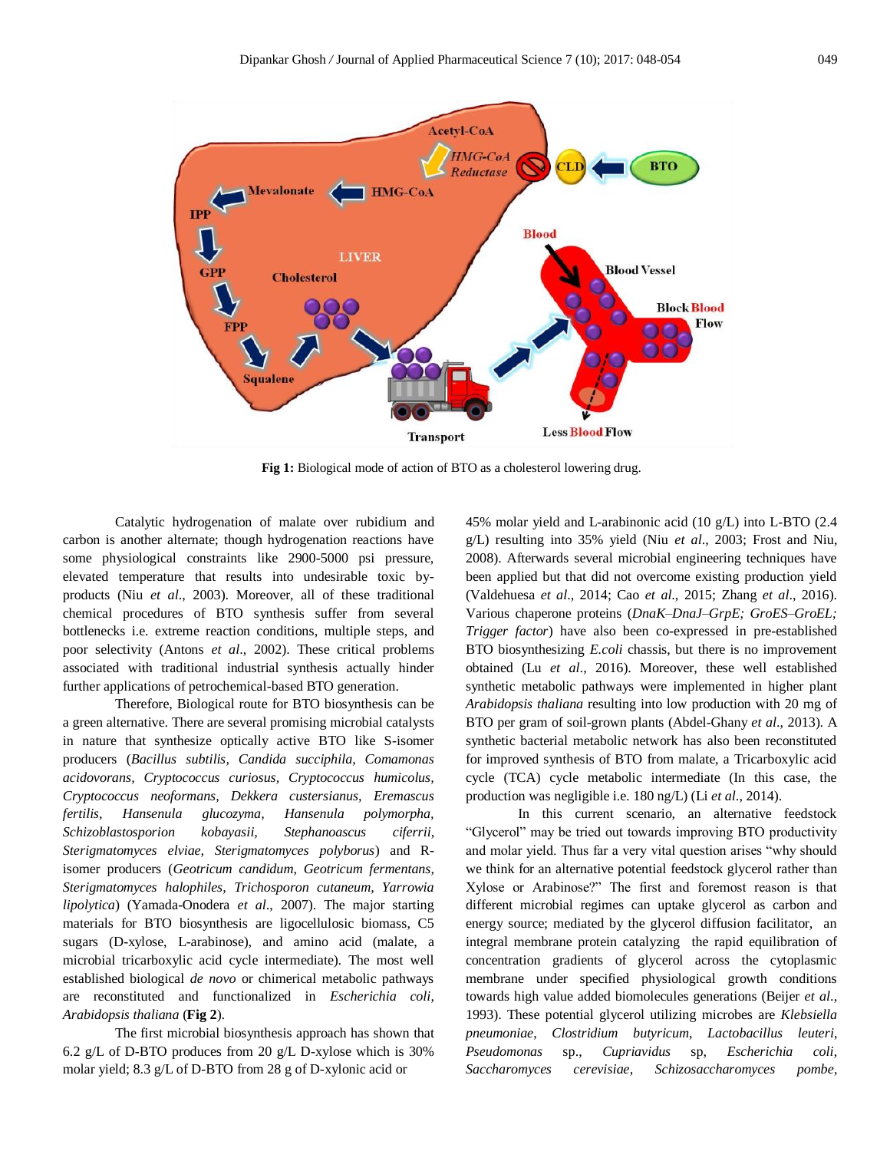

**Fig 1:** Biological mode of action of BTO as a cholesterol lowering drug.

Catalytic hydrogenation of malate over rubidium and carbon is another alternate; though hydrogenation reactions have some physiological constraints like 2900-5000 psi pressure, elevated temperature that results into undesirable toxic byproducts (Niu *et al*., 2003). Moreover, all of these traditional chemical procedures of BTO synthesis suffer from several bottlenecks i.e. extreme reaction conditions, multiple steps, and poor selectivity (Antons *et al*., 2002). These critical problems associated with traditional industrial synthesis actually hinder further applications of petrochemical-based BTO generation.

Therefore, Biological route for BTO biosynthesis can be a green alternative. There are several promising microbial catalysts in nature that synthesize optically active BTO like S-isomer producers (*Bacillus subtilis, Candida succiphila, Comamonas acidovorans, Cryptococcus curiosus, Cryptococcus humicolus, Cryptococcus neoformans, Dekkera custersianus, Eremascus fertilis, Hansenula glucozyma, Hansenula polymorpha, Schizoblastosporion kobayasii, Stephanoascus ciferrii, Sterigmatomyces elviae, Sterigmatomyces polyborus*) and Risomer producers (*Geotricum candidum, Geotricum fermentans, Sterigmatomyces halophiles, Trichosporon cutaneum, Yarrowia lipolytica*) (Yamada-Onodera *et al*., 2007). The major starting materials for BTO biosynthesis are ligocellulosic biomass, C5 sugars (D-xylose, L-arabinose), and amino acid (malate, a microbial tricarboxylic acid cycle intermediate). The most well established biological *de novo* or chimerical metabolic pathways are reconstituted and functionalized in *Escherichia coli*, *Arabidopsis thaliana* (**Fig 2**).

The first microbial biosynthesis approach has shown that 6.2 g/L of D-BTO produces from 20 g/L D-xylose which is 30% molar yield; 8.3 g/L of D-BTO from 28 g of D-xylonic acid or

45% molar yield and L-arabinonic acid (10 g/L) into L-BTO (2.4 g/L) resulting into 35% yield (Niu *et al*., 2003; Frost and Niu, 2008). Afterwards several microbial engineering techniques have been applied but that did not overcome existing production yield (Valdehuesa *et al*., 2014; Cao *et al*., 2015; Zhang *et al*., 2016). Various chaperone proteins (*DnaK–DnaJ–GrpE; GroES–GroEL; Trigger factor*) have also been co-expressed in pre-established BTO biosynthesizing *E.coli* chassis, but there is no improvement obtained (Lu *et al*., 2016). Moreover, these well established synthetic metabolic pathways were implemented in higher plant *Arabidopsis thaliana* resulting into low production with 20 mg of BTO per gram of soil-grown plants (Abdel-Ghany *et al*., 2013). A synthetic bacterial metabolic network has also been reconstituted for improved synthesis of BTO from malate, a Tricarboxylic acid cycle (TCA) cycle metabolic intermediate (In this case, the production was negligible i.e. 180 ng/L) (Li *et al*., 2014).

In this current scenario, an alternative feedstock "Glycerol" may be tried out towards improving BTO productivity and molar yield. Thus far a very vital question arises "why should we think for an alternative potential feedstock glycerol rather than Xylose or Arabinose?" The first and foremost reason is that different microbial regimes can uptake glycerol as carbon and energy source; mediated by the glycerol diffusion facilitator, an integral membrane protein catalyzing the rapid equilibration of concentration gradients of glycerol across the cytoplasmic membrane under specified physiological growth conditions towards high value added biomolecules generations (Beijer *et al*., 1993). These potential glycerol utilizing microbes are *Klebsiella pneumoniae*, *Clostridium butyricum*, *Lactobacillus leuteri*, *Pseudomonas* sp., *Cupriavidus* sp, *Escherichia coli*, *Saccharomyces cerevisiae*, *Schizosaccharomyces pombe*,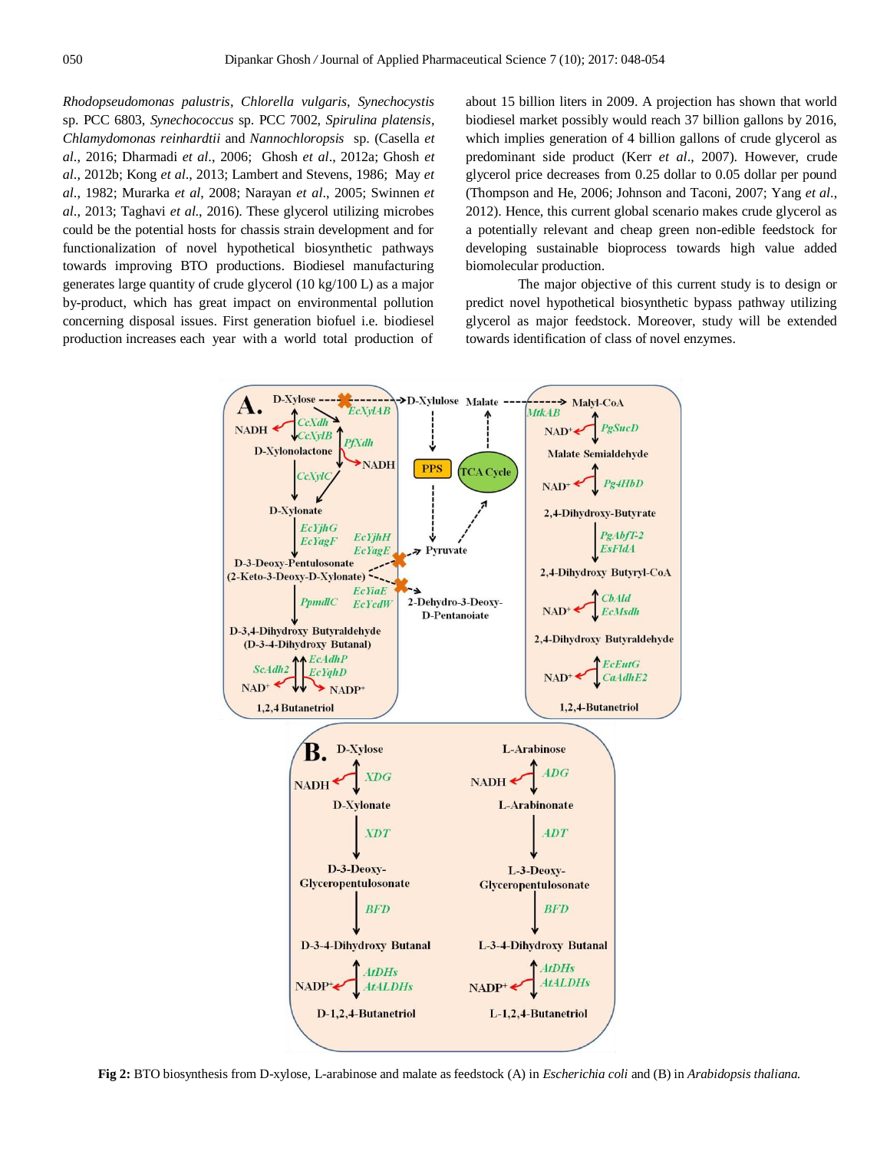*Rhodopseudomonas palustris*, *Chlorella vulgaris*, *Synechocystis* sp. PCC 6803, *Synechococcus* sp. PCC 7002, *Spirulina platensis*, *Chlamydomonas reinhardtii* and *Nannochloropsis* sp. (Casella *et al*., 2016; Dharmadi *et al*., 2006; Ghosh *et al*., 2012a; Ghosh *et al*., 2012b; Kong *et al*., 2013; Lambert and Stevens, 1986; May *et al*., 1982; Murarka *et al*, 2008; Narayan *et al*., 2005; Swinnen *et al*., 2013; Taghavi *et al*., 2016). These glycerol utilizing microbes could be the potential hosts for chassis strain development and for functionalization of novel hypothetical biosynthetic pathways towards improving BTO productions. Biodiesel manufacturing generates large quantity of crude glycerol (10 kg/100 L) as a major by-product, which has great impact on environmental pollution concerning disposal issues. First generation biofuel i.e. biodiesel production increases each year with a world total production of

about 15 billion liters in 2009. A projection has shown that world biodiesel market possibly would reach 37 billion gallons by 2016, which implies generation of 4 billion gallons of crude glycerol as predominant side product (Kerr *et al*., 2007). However, crude glycerol price decreases from 0.25 dollar to 0.05 dollar per pound (Thompson and He, 2006; Johnson and Taconi, 2007; Yang *et al*., 2012). Hence, this current global scenario makes crude glycerol as a potentially relevant and cheap green non-edible feedstock for developing sustainable bioprocess towards high value added biomolecular production.

The major objective of this current study is to design or predict novel hypothetical biosynthetic bypass pathway utilizing glycerol as major feedstock. Moreover, study will be extended towards identification of class of novel enzymes.



**Fig 2:** BTO biosynthesis from D-xylose, L-arabinose and malate as feedstock (A) in *Escherichia coli* and (B) in *Arabidopsis thaliana.*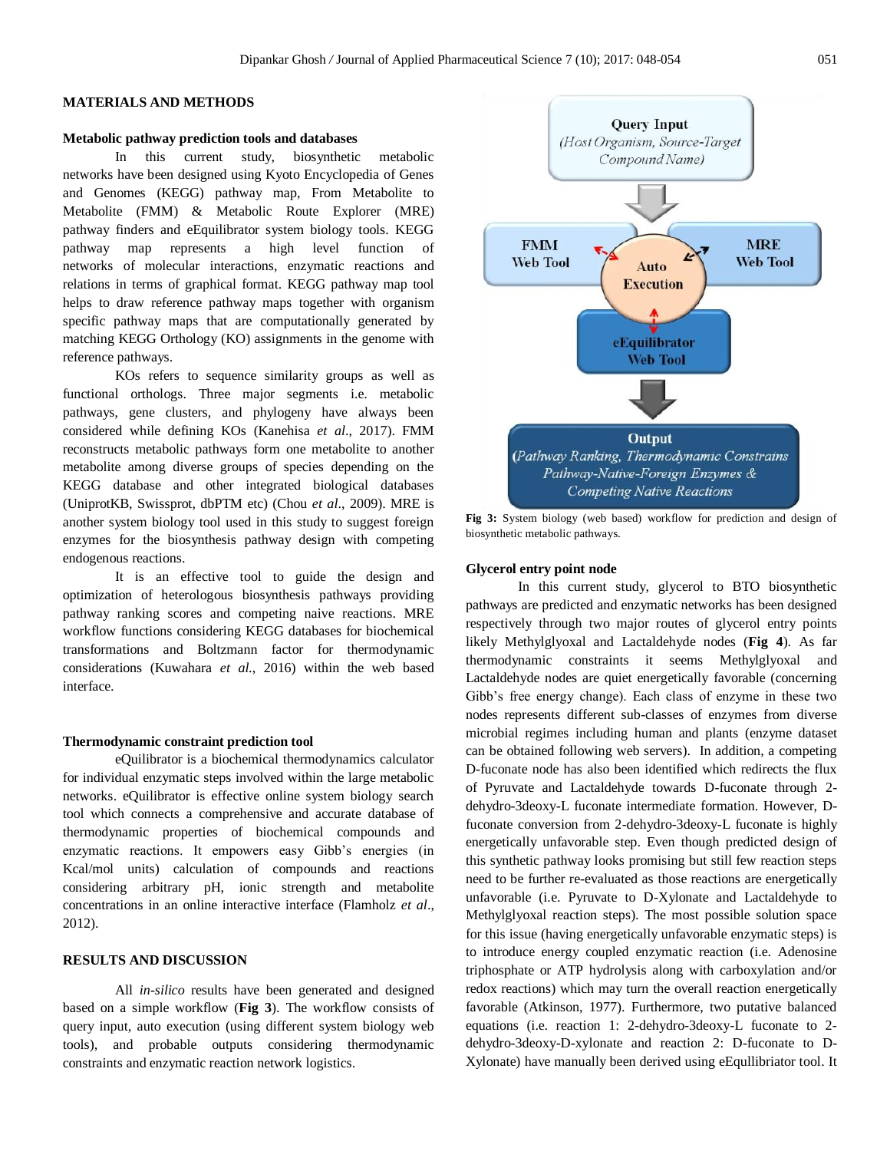# **MATERIALS AND METHODS**

#### **Metabolic pathway prediction tools and databases**

In this current study, biosynthetic metabolic networks have been designed using Kyoto Encyclopedia of Genes and Genomes (KEGG) pathway map, From Metabolite to Metabolite (FMM) & [Metabolic Route](http://www.cbrc.kaust.edu.sa/mre/) Explorer (MRE) pathway finders and eEquilibrator system biology tools. KEGG pathway map represents a high level function of networks of molecular interactions, enzymatic reactions and relations in terms of graphical format. KEGG pathway map tool helps to draw reference pathway maps together with organism specific pathway maps that are computationally generated by matching KEGG Orthology (KO) assignments in the genome with reference pathways.

KOs refers to sequence similarity groups as well as functional orthologs. Three major segments i.e. metabolic pathways, gene clusters, and phylogeny have always been considered while defining KOs (Kanehisa *et al*., 2017). FMM reconstructs metabolic pathways form one metabolite to another metabolite among diverse groups of species depending on the KEGG database and other integrated biological databases (UniprotKB, Swissprot, dbPTM etc) (Chou *et al*., 2009). MRE is another system biology tool used in this study to suggest foreign enzymes for the biosynthesis pathway design with competing endogenous reactions.

It is an effective tool to guide the design and optimization of heterologous biosynthesis pathways providing pathway ranking scores and competing naive reactions. MRE workflow functions considering KEGG databases for biochemical transformations and Boltzmann factor for thermodynamic considerations (Kuwahara *et al*., 2016) within the web based interface.

### **Thermodynamic constraint prediction tool**

eQuilibrator is a biochemical thermodynamics calculator for individual enzymatic steps involved within the large metabolic networks. eQuilibrator is effective online system biology search tool which connects a comprehensive and accurate database of thermodynamic properties of biochemical compounds and enzymatic reactions. It empowers easy Gibb's energies (in Kcal/mol units) calculation of compounds and reactions considering arbitrary pH, ionic strength and metabolite concentrations in an online interactive interface (Flamholz *et al*., 2012).

# **RESULTS AND DISCUSSION**

All *in-silico* results have been generated and designed based on a simple workflow (**Fig 3**). The workflow consists of query input, auto execution (using different system biology web tools), and probable outputs considering thermodynamic constraints and enzymatic reaction network logistics.



**Fig 3:** System biology (web based) workflow for prediction and design of biosynthetic metabolic pathways.

## **Glycerol entry point node**

In this current study, glycerol to BTO biosynthetic pathways are predicted and enzymatic networks has been designed respectively through two major routes of glycerol entry points likely Methylglyoxal and Lactaldehyde nodes (**Fig 4**). As far thermodynamic constraints it seems Methylglyoxal and Lactaldehyde nodes are quiet energetically favorable (concerning Gibb's free energy change). Each class of enzyme in these two nodes represents different sub-classes of enzymes from diverse microbial regimes including human and plants (enzyme dataset can be obtained following web servers). In addition, a competing D-fuconate node has also been identified which redirects the flux of Pyruvate and Lactaldehyde towards D-fuconate through 2 dehydro-3deoxy-L fuconate intermediate formation. However, Dfuconate conversion from 2-dehydro-3deoxy-L fuconate is highly energetically unfavorable step. Even though predicted design of this synthetic pathway looks promising but still few reaction steps need to be further re-evaluated as those reactions are energetically unfavorable (i.e. Pyruvate to D-Xylonate and Lactaldehyde to Methylglyoxal reaction steps). The most possible solution space for this issue (having energetically unfavorable enzymatic steps) is to introduce energy coupled enzymatic reaction (i.e. Adenosine triphosphate or ATP hydrolysis along with carboxylation and/or redox reactions) which may turn the overall reaction energetically favorable (Atkinson, 1977). Furthermore, two putative balanced equations (i.e. reaction 1: 2-dehydro-3deoxy-L fuconate to 2 dehydro-3deoxy-D-xylonate and reaction 2: D-fuconate to D-Xylonate) have manually been derived using eEqullibriator tool. It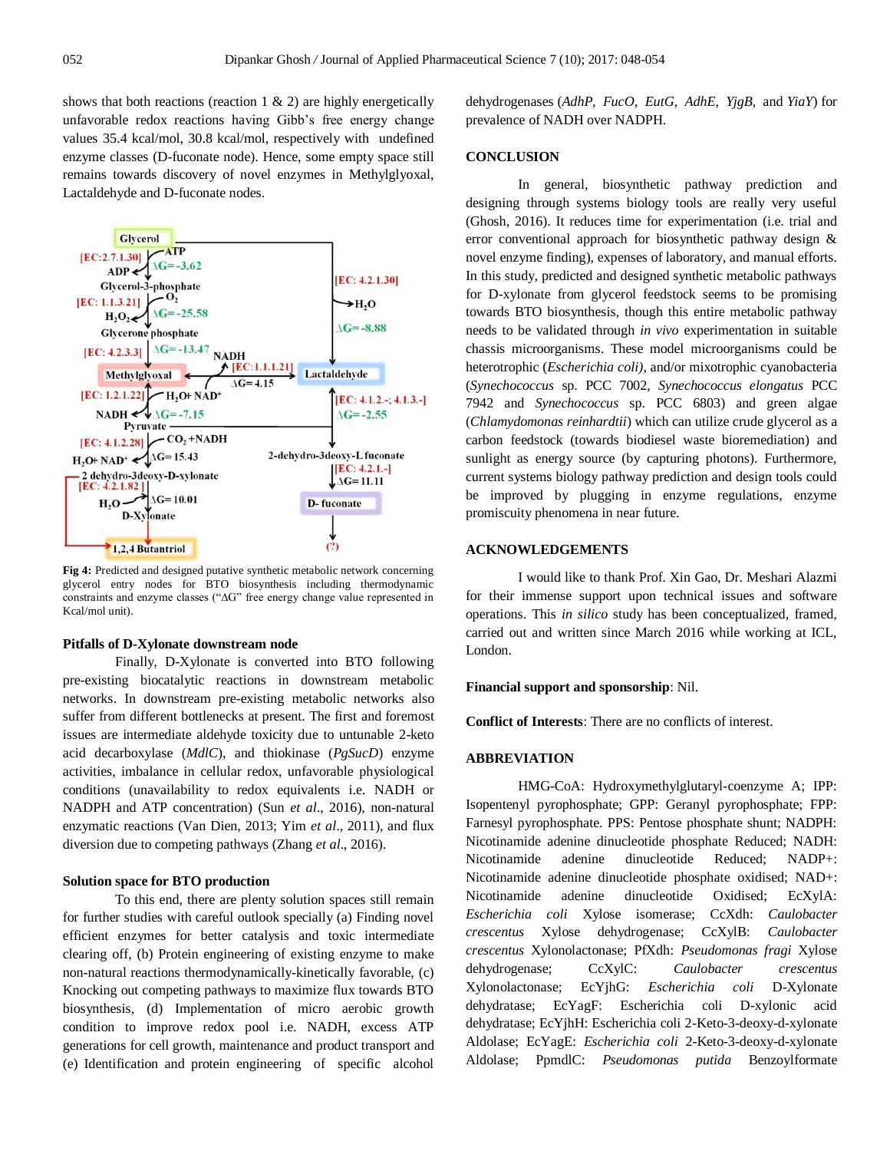shows that both reactions (reaction  $1 \& 2$ ) are highly energetically unfavorable redox reactions having Gibb's free energy change values 35.4 kcal/mol, 30.8 kcal/mol, respectively with undefined enzyme classes (D-fuconate node). Hence, some empty space still remains towards discovery of novel enzymes in Methylglyoxal, Lactaldehyde and D-fuconate nodes.



**Fig 4:** Predicted and designed putative synthetic metabolic network concerning glycerol entry nodes for BTO biosynthesis including thermodynamic constraints and enzyme classes ("∆G" free energy change value represented in Kcal/mol unit).

#### **Pitfalls of D-Xylonate downstream node**

Finally, D-Xylonate is converted into BTO following pre-existing biocatalytic reactions in downstream metabolic networks. In downstream pre-existing metabolic networks also suffer from different bottlenecks at present. The first and foremost issues are intermediate aldehyde toxicity due to untunable 2-keto acid decarboxylase (*MdlC*), and thiokinase (*PgSucD*) enzyme activities, imbalance in cellular redox, unfavorable physiological conditions (unavailability to redox equivalents i.e. NADH or NADPH and ATP concentration) (Sun *et al*., 2016), non-natural enzymatic reactions (Van Dien, 2013; Yim *et al*., 2011), and flux diversion due to competing pathways (Zhang *et al*., 2016).

# **Solution space for BTO production**

To this end, there are plenty solution spaces still remain for further studies with careful outlook specially (a) Finding novel efficient enzymes for better catalysis and toxic intermediate clearing off, (b) Protein engineering of existing enzyme to make non-natural reactions thermodynamically-kinetically favorable, (c) Knocking out competing pathways to maximize flux towards BTO biosynthesis, (d) Implementation of micro aerobic growth condition to improve redox pool i.e. NADH, excess ATP generations for cell growth, maintenance and product transport and (e) Identification and protein engineering of specific alcohol

dehydrogenases (*AdhP*, *FucO*, *EutG*, *AdhE*, *YjgB*, and *YiaY*) for prevalence of NADH over NADPH.

#### **CONCLUSION**

In general, biosynthetic pathway prediction and designing through systems biology tools are really very useful (Ghosh, 2016). It reduces time for experimentation (i.e. trial and error conventional approach for biosynthetic pathway design & novel enzyme finding), expenses of laboratory, and manual efforts. In this study, predicted and designed synthetic metabolic pathways for D-xylonate from glycerol feedstock seems to be promising towards BTO biosynthesis, though this entire metabolic pathway needs to be validated through *in vivo* experimentation in suitable chassis microorganisms. These model microorganisms could be heterotrophic (*Escherichia coli)*, and/or mixotrophic cyanobacteria (*Synechococcus* sp. PCC 7002, *Synechococcus elongatus* PCC 7942 and *Synechococcus* sp. PCC 6803) and green algae (*Chlamydomonas reinhardtii*) which can utilize crude glycerol as a carbon feedstock (towards biodiesel waste bioremediation) and sunlight as energy source (by capturing photons). Furthermore, current systems biology pathway prediction and design tools could be improved by plugging in enzyme regulations, enzyme promiscuity phenomena in near future.

# **ACKNOWLEDGEMENTS**

I would like to thank Prof. Xin Gao, Dr. Meshari Alazmi for their immense support upon technical issues and software operations. This *in silico* study has been conceptualized, framed, carried out and written since March 2016 while working at ICL, London.

#### **Financial support and sponsorship**: Nil.

**Conflict of Interests**: There are no conflicts of interest.

# **ABBREVIATION**

HMG-CoA: Hydroxymethylglutaryl-coenzyme A; IPP: Isopentenyl pyrophosphate; GPP: Geranyl pyrophosphate; FPP: Farnesyl pyrophosphate. PPS: Pentose phosphate shunt; NADPH: [Nicotinamide adenine dinucleotide phosphate](https://en.wikipedia.org/wiki/Nicotinamide_adenine_dinucleotide_phosphate) Reduced; NADH: Nicotinamide adenine dinucleotide Reduced; NADP+: [Nicotinamide adenine dinucleotide phosphate](https://en.wikipedia.org/wiki/Nicotinamide_adenine_dinucleotide_phosphate) oxidised; NAD+: Nicotinamide adenine dinucleotide Oxidised; EcXylA: *Escherichia coli* Xylose isomerase; CcXdh: *Caulobacter crescentus* Xylose dehydrogenase; CcXylB: *Caulobacter crescentus* Xylonolactonase; PfXdh: *Pseudomonas fragi* Xylose dehydrogenase; CcXylC: *Caulobacter crescentus* Xylonolactonase; EcYjhG: *Escherichia coli* D-Xylonate dehydratase; EcYagF: Escherichia coli D-xylonic acid dehydratase; EcYjhH: Escherichia coli 2-Keto-3-deoxy-d-xylonate Aldolase; EcYagE: *Escherichia coli* 2-Keto-3-deoxy-d-xylonate Aldolase; PpmdlC: *Pseudomonas putida* Benzoylformate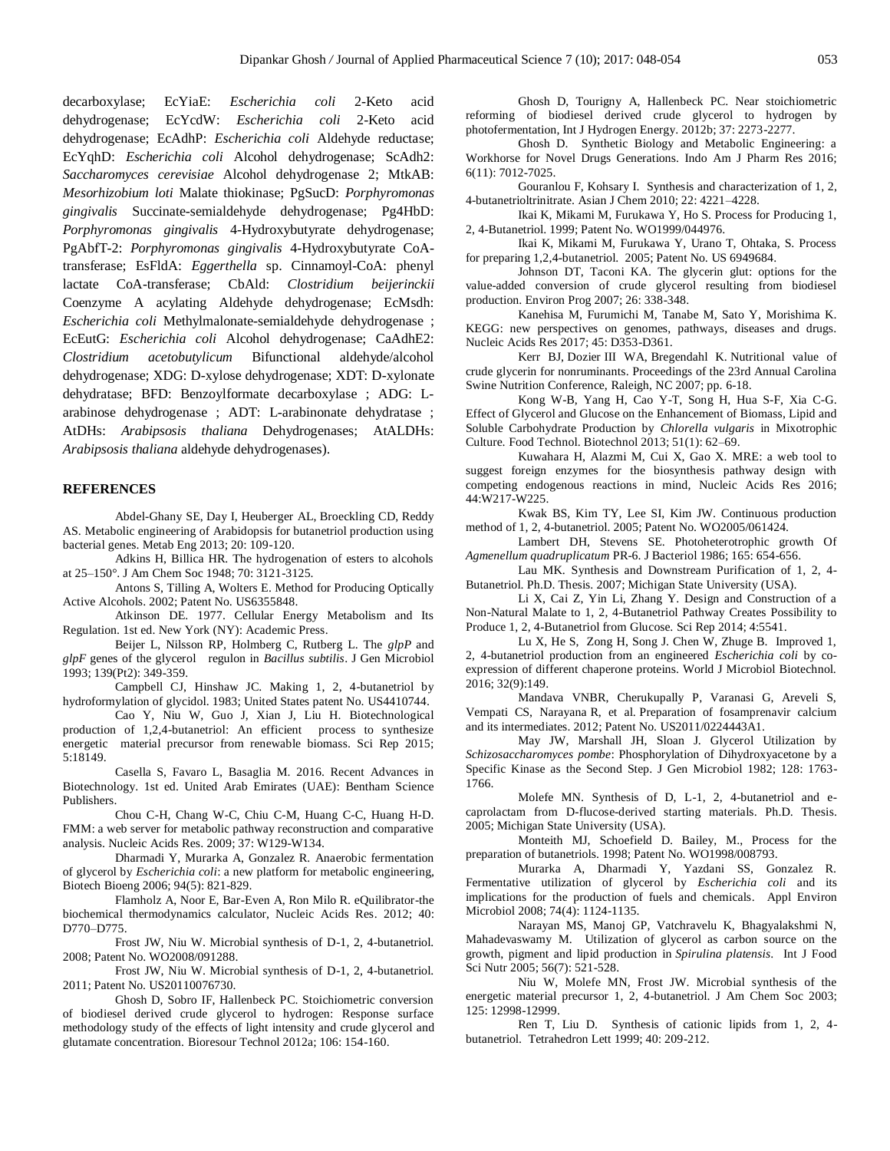decarboxylase; EcYiaE: *Escherichia coli* 2-Keto acid dehydrogenase; EcYcdW: *Escherichia coli* 2-Keto acid dehydrogenase; EcAdhP: *Escherichia coli* Aldehyde reductase; EcYqhD: *Escherichia coli* Alcohol dehydrogenase; ScAdh2: *Saccharomyces cerevisiae* Alcohol dehydrogenase 2; MtkAB: *Mesorhizobium loti* Malate thiokinase; PgSucD: *Porphyromonas gingivalis* Succinate-semialdehyde dehydrogenase; Pg4HbD: *Porphyromonas gingivalis* 4-Hydroxybutyrate dehydrogenase; PgAbfT-2: *Porphyromonas gingivalis* 4-Hydroxybutyrate CoAtransferase; EsFldA: *Eggerthella* sp. Cinnamoyl-CoA: phenyl lactate CoA-transferase; CbAld: *Clostridium beijerinckii* Coenzyme A acylating Aldehyde dehydrogenase; EcMsdh: *Escherichia coli* Methylmalonate-semialdehyde dehydrogenase ; EcEutG: *Escherichia coli* Alcohol dehydrogenase; CaAdhE2: *Clostridium acetobutylicum* Bifunctional aldehyde/alcohol dehydrogenase; XDG: D-xylose dehydrogenase; XDT: D-xylonate dehydratase; BFD: Benzoylformate decarboxylase ; ADG: Larabinose dehydrogenase ; ADT: L-arabinonate dehydratase ; AtDHs: *Arabipsosis thaliana* Dehydrogenases; AtALDHs: *Arabipsosis thaliana* aldehyde dehydrogenases).

# **REFERENCES**

Abdel-Ghany SE, Day I, Heuberger AL, Broeckling CD, Reddy AS. Metabolic engineering of Arabidopsis for butanetriol production using bacterial genes. Metab Eng 2013; 20: 109-120.

Adkins H, Billica HR. The hydrogenation of esters to alcohols at 25–150°. J Am Chem Soc 1948; 70: 3121-3125.

Antons S, Tilling A, Wolters E. Method for Producing Optically Active Alcohols. 2002; Patent No. US6355848.

Atkinson DE. 1977. Cellular Energy Metabolism and Its Regulation. 1st ed. New York (NY): Academic Press.

Beijer L, Nilsson RP, Holmberg C, Rutberg L. The *glpP* and *glpF* genes of the glycerol regulon in *Bacillus subtilis*. J Gen Microbiol 1993; 139(Pt2): 349-359.

Campbell CJ, Hinshaw JC. Making 1, 2, 4-butanetriol by hydroformylation of glycidol. 1983; United States patent No. US4410744.

Cao Y, Niu W, Guo J, Xian J, Liu H. Biotechnological production of 1,2,4-butanetriol: An efficient process to synthesize energetic material precursor from renewable biomass. Sci Rep 2015; 5:18149.

Casella S, Favaro L, Basaglia M. 2016. Recent Advances in Biotechnology. 1st ed. United Arab Emirates (UAE): Bentham Science Publishers.

Chou C-H, Chang W-C, Chiu C-M, Huang C-C, Huang H-D. FMM: a web server for metabolic pathway reconstruction and comparative analysis. Nucleic Acids Res. 2009; 37: W129-W134.

Dharmadi Y, Murarka A, Gonzalez R. [Anaerobic fermentation](https://scholar.google.com/citations?view_op=view_citation&hl=en&user=PE2LM_kAAAAJ&citation_for_view=PE2LM_kAAAAJ:04dtUmz_MT0C)  of glycerol by *Escherichia coli*[: a new platform for metabolic engineering,](https://scholar.google.com/citations?view_op=view_citation&hl=en&user=PE2LM_kAAAAJ&citation_for_view=PE2LM_kAAAAJ:04dtUmz_MT0C)  Biotech Bioeng 2006; 94(5): 821-829.

Flamholz A, Noor E, Bar-Even A, Ron Milo R. eQuilibrator-the biochemical thermodynamics calculator, Nucleic Acids Res. 2012; 40: D770–D775.

Frost JW, Niu W. Microbial synthesis of D-1, 2, 4-butanetriol. 2008; Patent No. WO2008/091288.

Frost JW, Niu W. Microbial synthesis of D-1, 2, 4-butanetriol. 2011; Patent No. US20110076730.

Ghosh D, Sobro IF, Hallenbeck PC. Stoichiometric conversion of biodiesel derived crude glycerol to hydrogen: Response surface methodology study of the effects of light intensity and crude glycerol and glutamate concentration. Bioresour Technol 2012a; 106: 154-160.

Ghosh D, Tourigny A, Hallenbeck PC. Near stoichiometric reforming of biodiesel derived crude glycerol to hydrogen by photofermentation, Int J Hydrogen Energy. 2012b; 37: 2273-2277.

Ghosh D. Synthetic Biology and Metabolic Engineering: a Workhorse for Novel Drugs Generations. Indo Am J Pharm Res 2016; 6(11): 7012-7025.

Gouranlou F, Kohsary I. Synthesis and characterization of 1, 2, 4-butanetrioltrinitrate. Asian J Chem 2010; 22: 4221–4228.

Ikai K, Mikami M, Furukawa Y, Ho S. Process for Producing 1, 2, 4-Butanetriol. 1999; Patent No. WO1999/044976.

Ikai K, Mikami M, Furukawa Y, Urano T, Ohtaka, S. Process for preparing 1,2,4-butanetriol. 2005; Patent No. US 6949684.

Johnson DT, Taconi KA. The glycerin glut: options for the value-added conversion of crude glycerol resulting from biodiesel production. Environ Prog 2007; 26: 338-348.

Kanehisa M, Furumichi M, Tanabe M, Sato Y, Morishima K. KEGG: new perspectives on genomes, pathways, diseases and drugs. Nucleic Acids Res 2017; 45: D353-D361.

Kerr BJ, Dozier III WA, Bregendahl K. Nutritional value of crude glycerin for nonruminants. Proceedings of the 23rd Annual Carolina Swine Nutrition Conference, Raleigh, NC 2007; pp. 6-18.

Kong W-B, Yang H, Cao Y-T, Song H, Hua S-F, Xia C-G. Effect of Glycerol and Glucose on the Enhancement of Biomass, Lipid and Soluble Carbohydrate Production by *Chlorella vulgaris* in Mixotrophic Culture. Food Technol. Biotechnol 2013; 51(1): 62–69.

Kuwahara H, Alazmi M, Cui X, Gao X. MRE: a web tool to suggest foreign enzymes for the biosynthesis pathway design with competing endogenous reactions in mind, Nucleic Acids Res 2016; 44:W217-W225.

Kwak BS, Kim TY, Lee SI, Kim JW. Continuous production method of 1, 2, 4-butanetriol. 2005; Patent No. WO2005/061424.

Lambert DH, Stevens SE. Photoheterotrophic growth Of *Agmenellum quadruplicatum* PR-6. J Bacteriol 1986; 165: 654-656.

Lau MK. Synthesis and Downstream Purification of 1, 2, 4- Butanetriol. Ph.D. Thesis. 2007; Michigan State University (USA).

Li X, Cai Z, Yin Li, Zhang Y. Design and Construction of a Non-Natural Malate to 1, 2, 4-Butanetriol Pathway Creates Possibility to Produce 1, 2, 4-Butanetriol from Glucose. Sci Rep 2014; 4:5541.

Lu X, He S, Zong H, Song J. Chen W, Zhuge B. Improved 1, 2, 4-butanetriol production from an engineered *Escherichia coli* by coexpression of different chaperone proteins. World J Microbiol Biotechnol. 2016; 32(9):149.

Mandava VNBR, Cherukupally P, Varanasi G, Areveli S, Vempati CS, Narayana R, et al. Preparation of fosamprenavir calcium and its intermediates. 2012; Patent No. US2011/0224443A1.

May JW, Marshall JH, Sloan J. Glycerol Utilization by *Schizosaccharomyces pombe*: Phosphorylation of Dihydroxyacetone by a Specific Kinase as the Second Step. J Gen Microbiol 1982; 128: 1763- 1766.

Molefe MN. Synthesis of D, L-1, 2, 4-butanetriol and ecaprolactam from D-flucose-derived starting materials. Ph.D. Thesis. 2005; Michigan State University (USA).

Monteith MJ, Schoefield D. Bailey, M., Process for the preparation of butanetriols. 1998; Patent No. WO1998/008793.

Murarka A, Dharmadi Y, Yazdani SS, Gonzalez R. [Fermentative utilization of glycerol by](https://scholar.google.com/citations?view_op=view_citation&hl=en&user=PE2LM_kAAAAJ&citation_for_view=PE2LM_kAAAAJ:fXbrI0tPCuEC) *Escherichia coli* and its [implications for the production of fuels and chemicals.](https://scholar.google.com/citations?view_op=view_citation&hl=en&user=PE2LM_kAAAAJ&citation_for_view=PE2LM_kAAAAJ:fXbrI0tPCuEC) Appl Environ Microbiol 2008; 74(4): 1124-1135.

Narayan MS, Manoj GP, Vatchravelu K, Bhagyalakshmi N, Mahadevaswamy M. Utilization of glycerol as carbon source on the growth, pigment and lipid production in *Spirulina platensis*. Int J Food Sci Nutr 2005; 56(7): 521-528.

Niu W, Molefe MN, Frost JW. Microbial synthesis of the energetic material precursor 1, 2, 4-butanetriol. J Am Chem Soc 2003; 125: 12998-12999.

Ren T, Liu D. Synthesis of cationic lipids from 1, 2, 4 butanetriol. Tetrahedron Lett 1999; 40: 209-212.